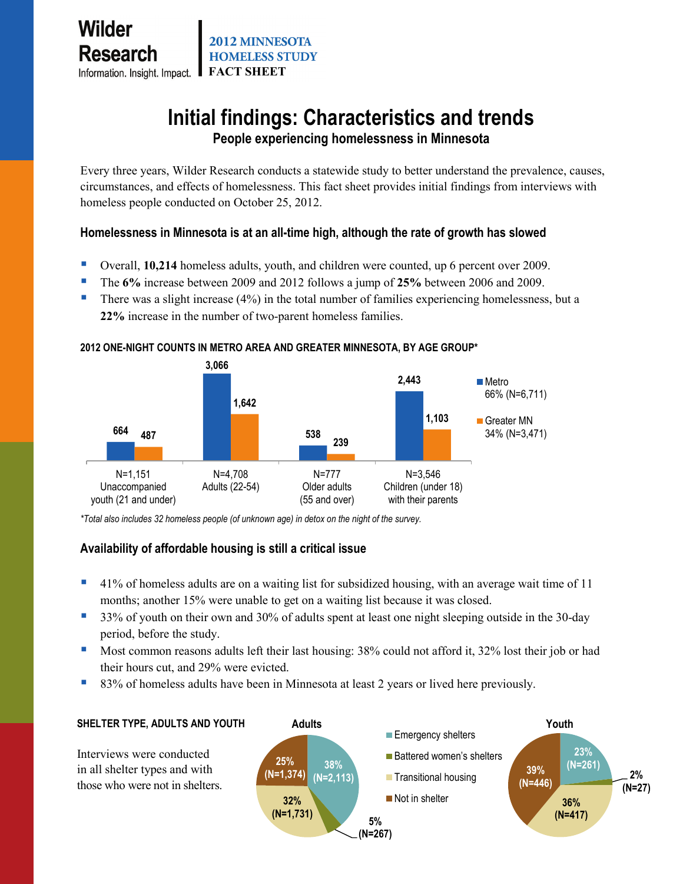# **Initial findings: Characteristics and trends**

**People experiencing homelessness in Minnesota**

Every three years, Wilder Research conducts a statewide study to better understand the prevalence, causes, circumstances, and effects of homelessness. This fact sheet provides initial findings from interviews with homeless people conducted on October 25, 2012.

# **Homelessness in Minnesota is at an all-time high, although the rate of growth has slowed**

- Overall, **10,214** homeless adults, youth, and children were counted, up 6 percent over 2009.
- The **6%** increase between 2009 and 2012 follows a jump of **25%** between 2006 and 2009.
- There was a slight increase (4%) in the total number of families experiencing homelessness, but a **22%** increase in the number of two-parent homeless families.

#### **2012 ONE-NIGHT COUNTS IN METRO AREA AND GREATER MINNESOTA, BY AGE GROUP\***



*\*Total also includes 32 homeless people (of unknown age) in detox on the night of the survey.* 

# **Availability of affordable housing is still a critical issue**

- 41% of homeless adults are on a waiting list for subsidized housing, with an average wait time of 11 months; another 15% were unable to get on a waiting list because it was closed.
- 33% of youth on their own and 30% of adults spent at least one night sleeping outside in the 30-day period, before the study.
- Most common reasons adults left their last housing: 38% could not afford it, 32% lost their job or had their hours cut, and 29% were evicted.
- 83% of homeless adults have been in Minnesota at least 2 years or lived here previously.

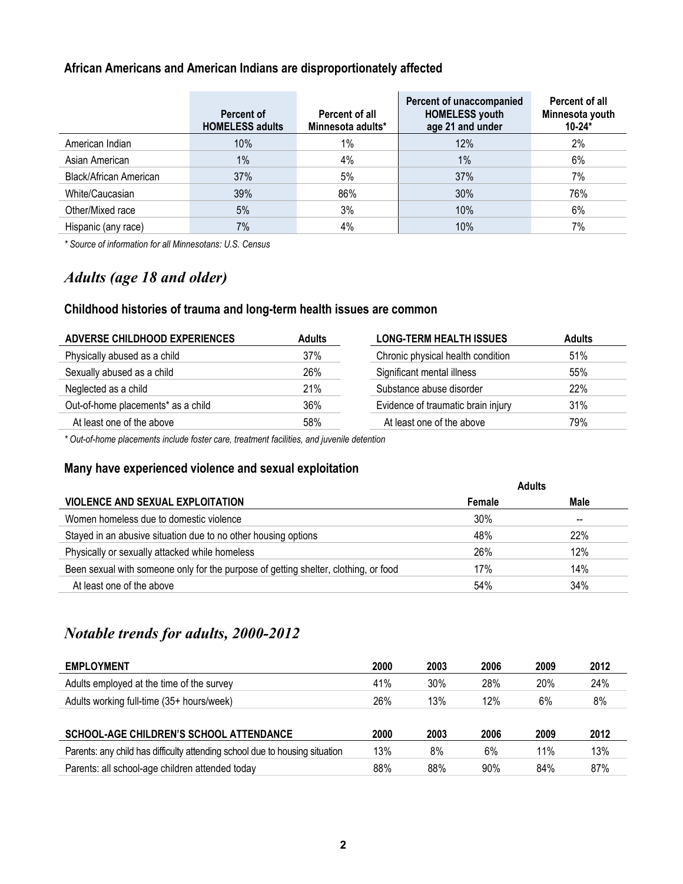## **African Americans and American Indians are disproportionately affected**

|                        | Percent of<br><b>HOMELESS adults</b> | <b>Percent of all</b><br>Minnesota adults* | Percent of unaccompanied<br><b>HOMELESS youth</b><br>age 21 and under | Percent of all<br>Minnesota youth<br>$10 - 24*$ |
|------------------------|--------------------------------------|--------------------------------------------|-----------------------------------------------------------------------|-------------------------------------------------|
| American Indian        | 10%                                  | $1\%$                                      | 12%                                                                   | 2%                                              |
| Asian American         | 1%                                   | 4%                                         | 1%                                                                    | 6%                                              |
| Black/African American | 37%                                  | 5%                                         | 37%                                                                   | 7%                                              |
| White/Caucasian        | 39%                                  | 86%                                        | 30%                                                                   | 76%                                             |
| Other/Mixed race       | 5%                                   | 3%                                         | 10%                                                                   | 6%                                              |
| Hispanic (any race)    | 7%                                   | 4%                                         | 10%                                                                   | 7%                                              |

*\* Source of information for all Minnesotans: U.S. Census*

# *Adults (age 18 and older)*

## **Childhood histories of trauma and long-term health issues are common**

| ADVERSE CHILDHOOD EXPERIENCES<br><b>Adults</b> |     | <b>LONG-TERM HEALTH ISSUES</b>     | <b>Adults</b> |
|------------------------------------------------|-----|------------------------------------|---------------|
| Physically abused as a child                   | 37% | Chronic physical health condition  | 51%           |
| Sexually abused as a child                     | 26% | Significant mental illness         | 55%           |
| Neglected as a child                           | 21% | Substance abuse disorder           | 22%           |
| Out-of-home placements* as a child             | 36% | Evidence of traumatic brain injury | 31%           |
| At least one of the above                      | 58% | At least one of the above          | 79%           |
|                                                |     |                                    |               |

*\* Out-of-home placements include foster care, treatment facilities, and juvenile detention*

## **Many have experienced violence and sexual exploitation**

|                                                                                     | <b>Adults</b> |      |  |
|-------------------------------------------------------------------------------------|---------------|------|--|
| <b>VIOLENCE AND SEXUAL EXPLOITATION</b>                                             | Female        | Male |  |
| Women homeless due to domestic violence                                             | 30%           | --   |  |
| Stayed in an abusive situation due to no other housing options                      | 48%           | 22%  |  |
| Physically or sexually attacked while homeless                                      | 26%           | 12%  |  |
| Been sexual with someone only for the purpose of getting shelter, clothing, or food | 17%           | 14%  |  |
| At least one of the above                                                           | 54%           | 34%  |  |

# *Notable trends for adults, 2000-2012*

| <b>EMPLOYMENT</b>                                                           | 2000 | 2003 | 2006 | 2009       | 2012 |
|-----------------------------------------------------------------------------|------|------|------|------------|------|
| Adults employed at the time of the survey                                   | 41%  | 30%  | 28%  | <b>20%</b> | 24%  |
| Adults working full-time (35+ hours/week)                                   | 26%  | 13%  | 12%  | 6%         | 8%   |
|                                                                             |      |      |      |            |      |
| <b>SCHOOL-AGE CHILDREN'S SCHOOL ATTENDANCE</b>                              | 2000 | 2003 | 2006 | 2009       | 2012 |
| Parents: any child has difficulty attending school due to housing situation | 13%  | 8%   | 6%   | 11%        | 13%  |
| Parents: all school-age children attended today                             | 88%  | 88%  | 90%  | 84%        | 87%  |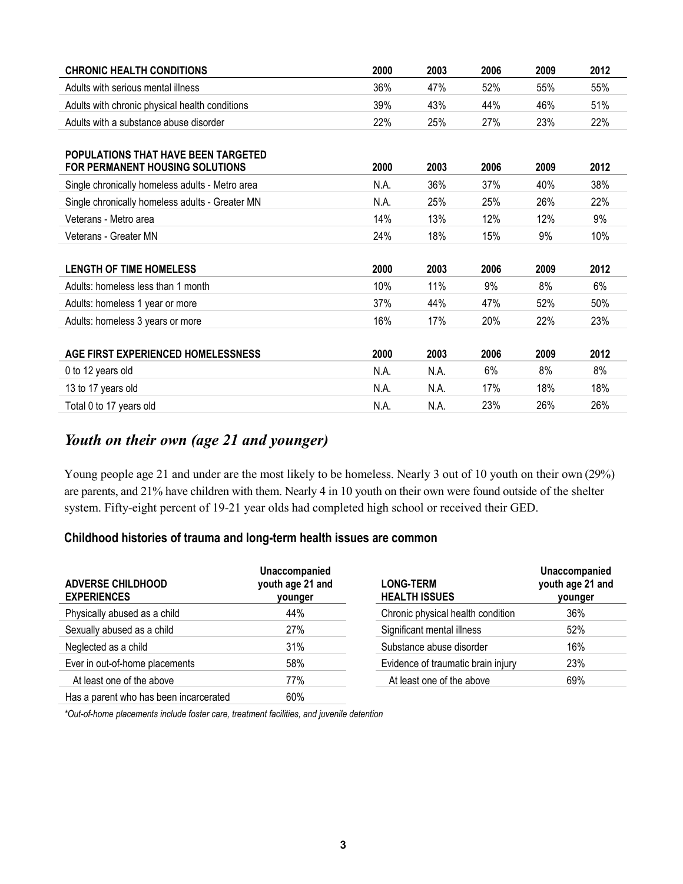| <b>CHRONIC HEALTH CONDITIONS</b>                | 2000 | 2003 | 2006 | 2009 | 2012 |
|-------------------------------------------------|------|------|------|------|------|
| Adults with serious mental illness              | 36%  | 47%  | 52%  | 55%  | 55%  |
| Adults with chronic physical health conditions  | 39%  | 43%  | 44%  | 46%  | 51%  |
| Adults with a substance abuse disorder          | 22%  | 25%  | 27%  | 23%  | 22%  |
| <b>POPULATIONS THAT HAVE BEEN TARGETED</b>      |      |      |      |      |      |
| <b>FOR PERMANENT HOUSING SOLUTIONS</b>          | 2000 | 2003 | 2006 | 2009 | 2012 |
| Single chronically homeless adults - Metro area | N.A. | 36%  | 37%  | 40%  | 38%  |
| Single chronically homeless adults - Greater MN | N.A. | 25%  | 25%  | 26%  | 22%  |
| Veterans - Metro area                           | 14%  | 13%  | 12%  | 12%  | 9%   |
| Veterans - Greater MN                           | 24%  | 18%  | 15%  | 9%   | 10%  |
|                                                 |      |      |      |      |      |
| <b>LENGTH OF TIME HOMELESS</b>                  | 2000 | 2003 | 2006 | 2009 | 2012 |
| Adults: homeless less than 1 month              | 10%  | 11%  | 9%   | 8%   | 6%   |
| Adults: homeless 1 year or more                 | 37%  | 44%  | 47%  | 52%  | 50%  |
| Adults: homeless 3 years or more                | 16%  | 17%  | 20%  | 22%  | 23%  |
|                                                 |      |      |      |      |      |
| AGE FIRST EXPERIENCED HOMELESSNESS              | 2000 | 2003 | 2006 | 2009 | 2012 |
| 0 to 12 years old                               | N.A. | N.A. | 6%   | 8%   | 8%   |
| 13 to 17 years old                              | N.A. | N.A. | 17%  | 18%  | 18%  |
| Total 0 to 17 years old                         | N.A. | N.A. | 23%  | 26%  | 26%  |

# *Youth on their own (age 21 and younger)*

Young people age 21 and under are the most likely to be homeless. Nearly 3 out of 10 youth on their own (29%) are parents, and 21% have children with them. Nearly 4 in 10 youth on their own were found outside of the shelter system. Fifty-eight percent of 19-21 year olds had completed high school or received their GED.

#### **Childhood histories of trauma and long-term health issues are common**

| <b>ADVERSE CHILDHOOD</b><br><b>EXPERIENCES</b> | Unaccompanied<br>youth age 21 and<br>younger | <b>LONG-TERM</b><br><b>HEALTH ISSUES</b> | Unaccompanied<br>youth age 21 and<br>younger |
|------------------------------------------------|----------------------------------------------|------------------------------------------|----------------------------------------------|
| Physically abused as a child                   | 44%                                          | Chronic physical health condition        | 36%                                          |
| Sexually abused as a child                     | 27%                                          | Significant mental illness               | 52%                                          |
| Neglected as a child                           | 31%                                          | Substance abuse disorder                 | 16%                                          |
| Ever in out-of-home placements                 | 58%                                          | Evidence of traumatic brain injury       | 23%                                          |
| At least one of the above                      | 77%                                          | At least one of the above                | 69%                                          |
| Has a parent who has been incarcerated         | 60%                                          |                                          |                                              |

*\*Out-of-home placements include foster care, treatment facilities, and juvenile detention*